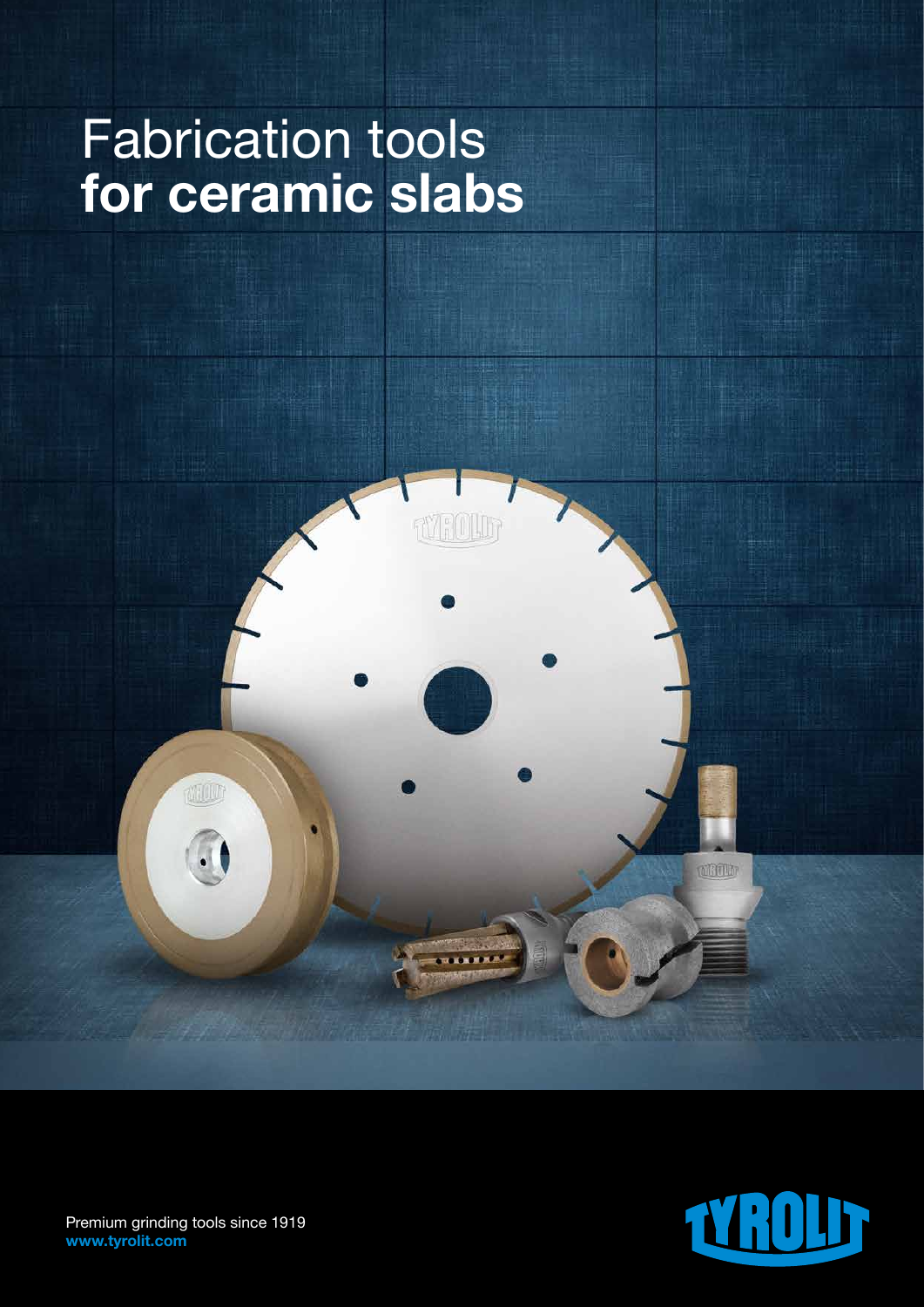# Fabrication tools for ceramic slabs





Premium grinding tools since 1919 www.tyrolit.com